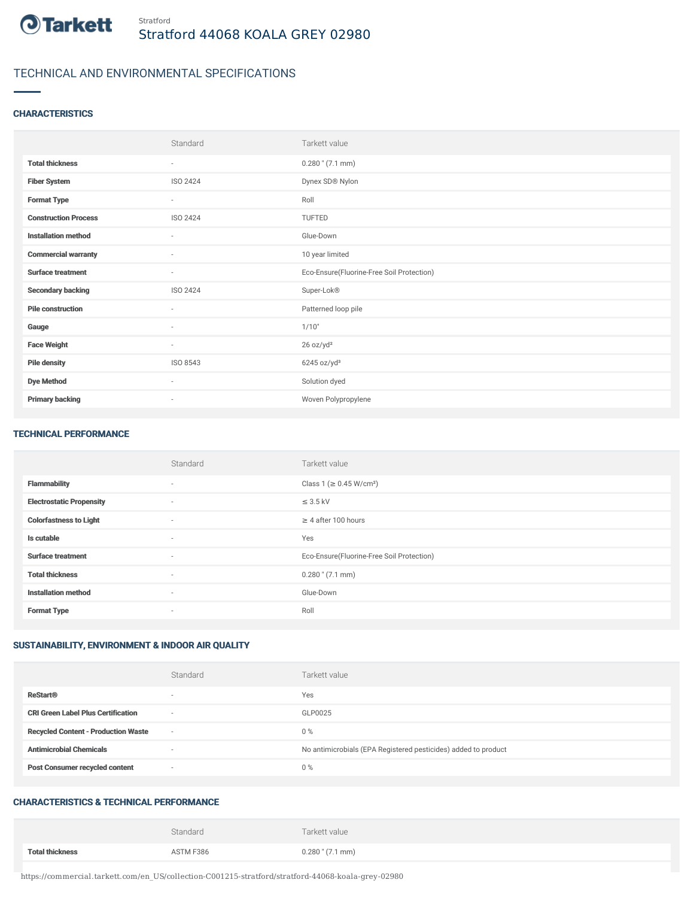

# TECHNICAL AND ENVIRONMENTAL SPECIFICATIONS

### **CHARACTERISTICS**

|                             | Standard        | Tarkett value                             |
|-----------------------------|-----------------|-------------------------------------------|
| <b>Total thickness</b>      | $\sim$          | $0.280$ " $(7.1$ mm)                      |
| <b>Fiber System</b>         | ISO 2424        | Dynex SD® Nylon                           |
| <b>Format Type</b>          | $\sim$          | Roll                                      |
| <b>Construction Process</b> | <b>ISO 2424</b> | TUFTED                                    |
| <b>Installation method</b>  | $\sim$          | Glue-Down                                 |
| <b>Commercial warranty</b>  | $\sim$          | 10 year limited                           |
| <b>Surface treatment</b>    | $\sim$          | Eco-Ensure(Fluorine-Free Soil Protection) |
| <b>Secondary backing</b>    | ISO 2424        | Super-Lok®                                |
| <b>Pile construction</b>    | $\sim$          | Patterned loop pile                       |
| Gauge                       | $\sim$          | 1/10"                                     |
| <b>Face Weight</b>          | $\sim$          | 26 oz/yd <sup>2</sup>                     |
| <b>Pile density</b>         | ISO 8543        | 6245 oz/yd <sup>3</sup>                   |
| <b>Dye Method</b>           | $\sim$          | Solution dyed                             |
| <b>Primary backing</b>      | ٠               | Woven Polypropylene                       |

#### TECHNICAL PERFORMANCE

|                                 | Standard | Tarkett value                             |
|---------------------------------|----------|-------------------------------------------|
| <b>Flammability</b>             | $\sim$   | Class 1 ( $\geq$ 0.45 W/cm <sup>2</sup> ) |
| <b>Electrostatic Propensity</b> | $\sim$   | $\leq$ 3.5 kV                             |
| <b>Colorfastness to Light</b>   | $\sim$   | $\geq 4$ after 100 hours                  |
| Is cutable                      | $\sim$   | Yes                                       |
| <b>Surface treatment</b>        | $\sim$   | Eco-Ensure(Fluorine-Free Soil Protection) |
| <b>Total thickness</b>          | $\sim$   | $0.280$ " (7.1 mm)                        |
| <b>Installation method</b>      | $\sim$   | Glue-Down                                 |
| <b>Format Type</b>              | $\sim$   | Roll                                      |

## SUSTAINABILITY, ENVIRONMENT & INDOOR AIR QUALITY

|                                            | Standard | Tarkett value                                                  |
|--------------------------------------------|----------|----------------------------------------------------------------|
| <b>ReStart®</b>                            |          | Yes                                                            |
| <b>CRI Green Label Plus Certification</b>  | $\sim$   | GLP0025                                                        |
| <b>Recycled Content - Production Waste</b> | $\sim$   | $0\%$                                                          |
| <b>Antimicrobial Chemicals</b>             |          | No antimicrobials (EPA Registered pesticides) added to product |
| <b>Post Consumer recycled content</b>      | $\sim$   | 0%                                                             |

### CHARACTERISTICS & TECHNICAL PERFORMANCE

|                        | Standard  | Tarkett value      |
|------------------------|-----------|--------------------|
| <b>Total thickness</b> | ASTM F386 | $0.280$ " (7.1 mm) |

https://commercial.tarkett.com/en\_US/collection-C001215-stratford/stratford-44068-koala-grey-02980